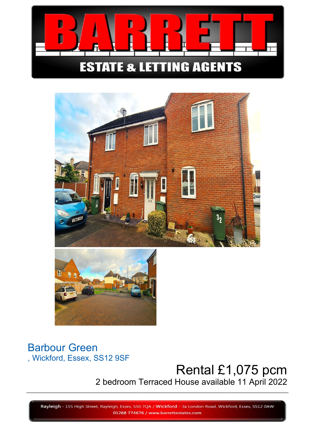





# Barbour Green , Wickford, Essex, SS12 9SF

# Rental £1,075 pcm

2 bedroom Terraced House available 11 April 2022

Rayleigh - 155 High Street, Rayleigh, Essex, SS6 7QA / Wickford - 3a London Road, Wickford, Essex, SS12 0AW 01268 774676 / www.barrettestates.com

\_\_\_\_\_\_\_\_\_\_\_\_\_\_\_\_\_\_\_\_\_\_\_\_\_\_\_\_\_\_\_\_\_\_\_\_\_\_\_\_\_\_\_\_\_\_\_\_\_\_\_\_\_\_\_\_\_\_\_\_\_\_\_\_\_\_\_\_\_\_\_\_\_\_\_\_\_\_\_\_\_\_\_\_\_\_\_\_\_